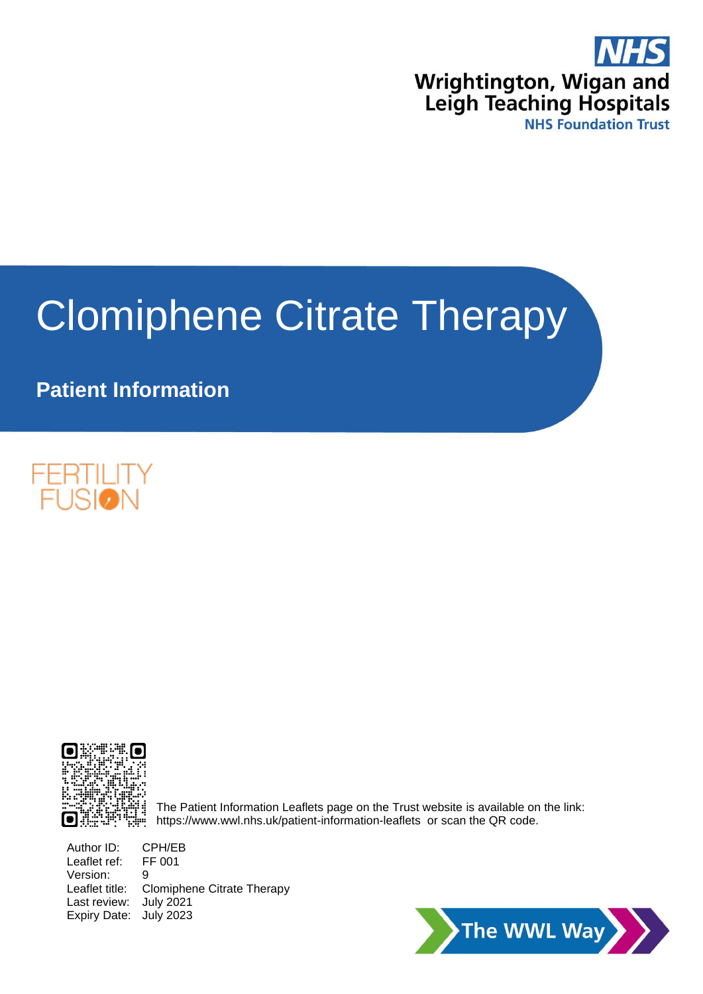

# Clomiphene Citrate Therapy

# **Patient Information**





The Patient Information Leaflets page on the Trust website is available on the link: <https://www.wwl.nhs.uk/patient-information-leaflets> or scan the QR code.

Author ID: CPH/EB Leaflet ref: FF 001 Version: 9 Leaflet title: Clomiphene Citrate Therapy Last review: July 2021 Expiry Date: July 2023

The WWL Way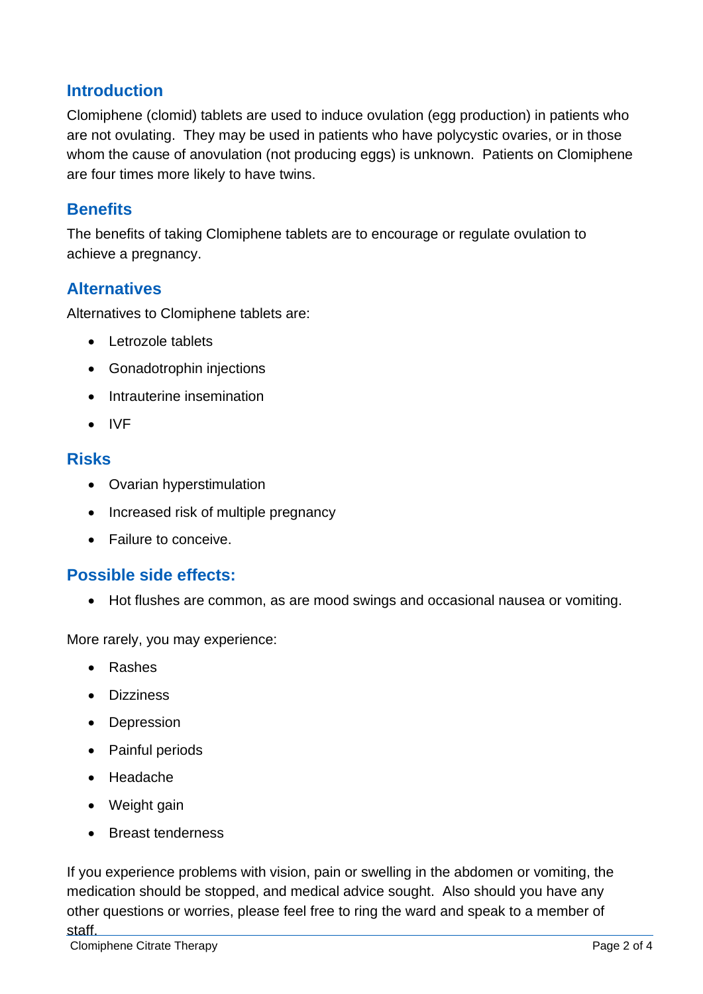#### **Introduction**

Clomiphene (clomid) tablets are used to induce ovulation (egg production) in patients who are not ovulating. They may be used in patients who have polycystic ovaries, or in those whom the cause of anovulation (not producing eggs) is unknown. Patients on Clomiphene are four times more likely to have twins.

#### **Benefits**

The benefits of taking Clomiphene tablets are to encourage or regulate ovulation to achieve a pregnancy.

#### **Alternatives**

Alternatives to Clomiphene tablets are:

- Letrozole tablets
- Gonadotrophin injections
- Intrauterine insemination
- IVF

#### **Risks**

- Ovarian hyperstimulation
- Increased risk of multiple pregnancy
- Failure to conceive.

#### **Possible side effects:**

• Hot flushes are common, as are mood swings and occasional nausea or vomiting.

More rarely, you may experience:

- Rashes
- Dizziness
- Depression
- Painful periods
- Headache
- Weight gain
- Breast tenderness

If you experience problems with vision, pain or swelling in the abdomen or vomiting, the medication should be stopped, and medical advice sought. Also should you have any other questions or worries, please feel free to ring the ward and speak to a member of staff.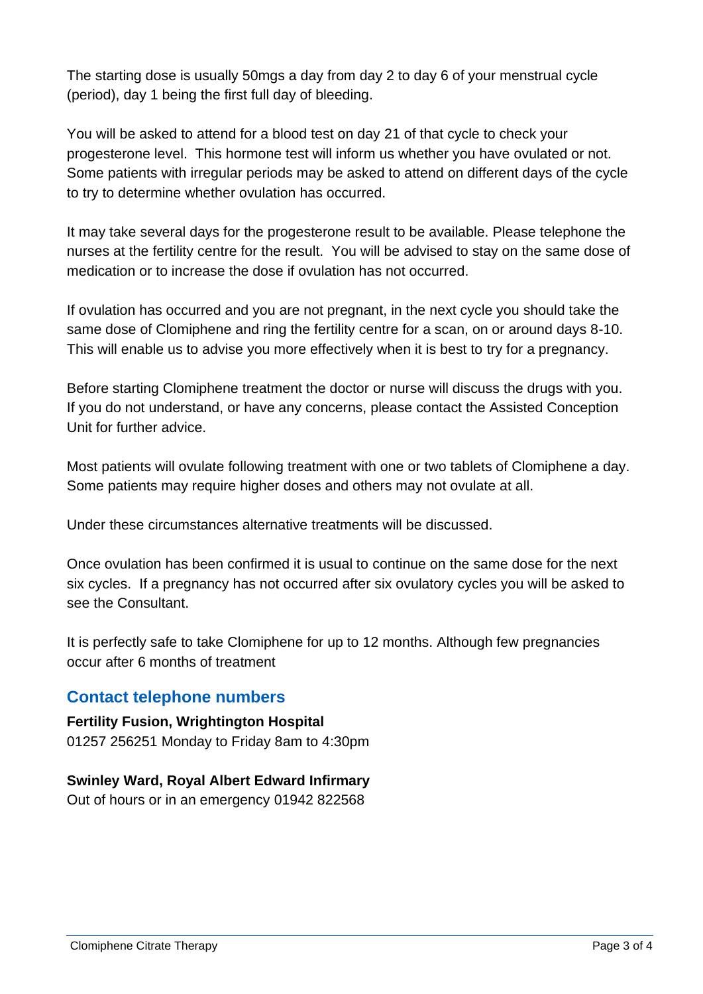The starting dose is usually 50mgs a day from day 2 to day 6 of your menstrual cycle (period), day 1 being the first full day of bleeding.

You will be asked to attend for a blood test on day 21 of that cycle to check your progesterone level. This hormone test will inform us whether you have ovulated or not. Some patients with irregular periods may be asked to attend on different days of the cycle to try to determine whether ovulation has occurred.

It may take several days for the progesterone result to be available. Please telephone the nurses at the fertility centre for the result. You will be advised to stay on the same dose of medication or to increase the dose if ovulation has not occurred.

If ovulation has occurred and you are not pregnant, in the next cycle you should take the same dose of Clomiphene and ring the fertility centre for a scan, on or around days 8-10. This will enable us to advise you more effectively when it is best to try for a pregnancy.

Before starting Clomiphene treatment the doctor or nurse will discuss the drugs with you. If you do not understand, or have any concerns, please contact the Assisted Conception Unit for further advice.

Most patients will ovulate following treatment with one or two tablets of Clomiphene a day. Some patients may require higher doses and others may not ovulate at all.

Under these circumstances alternative treatments will be discussed.

Once ovulation has been confirmed it is usual to continue on the same dose for the next six cycles. If a pregnancy has not occurred after six ovulatory cycles you will be asked to see the Consultant.

It is perfectly safe to take Clomiphene for up to 12 months. Although few pregnancies occur after 6 months of treatment

#### **Contact telephone numbers**

**Fertility Fusion, Wrightington Hospital**  01257 256251 Monday to Friday 8am to 4:30pm

**Swinley Ward, Royal Albert Edward Infirmary**

Out of hours or in an emergency 01942 822568